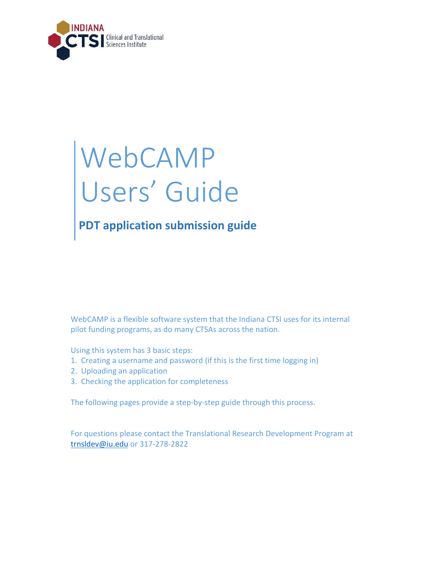

# WebCAMP Users' Guide

# **PDT application submission guide**

WebCAMP is a flexible software system that the Indiana CTSI uses for its internal pilot funding programs, as do many CTSAs across the nation.

Using this system has 3 basic steps:

- 1. Creating a username and password (if this is the first time logging in)
- 2. Uploading an application
- 3. Checking the application for completeness

The following pages provide a step-by-step guide through this process.

For questions please contact the Translational Research Development Program at [trnsldev@iu.edu](mailto:trnsldev@iu.edu) or 317-278-2822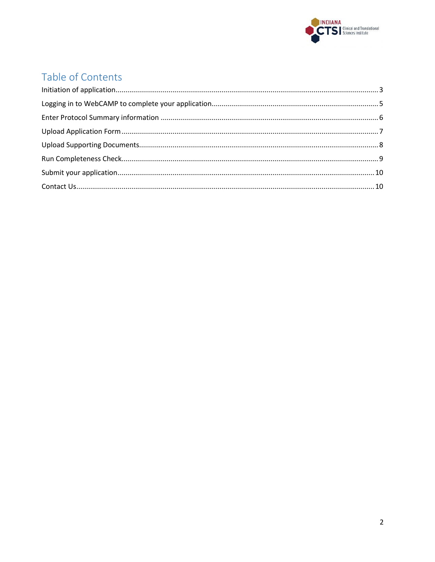

## Table of Contents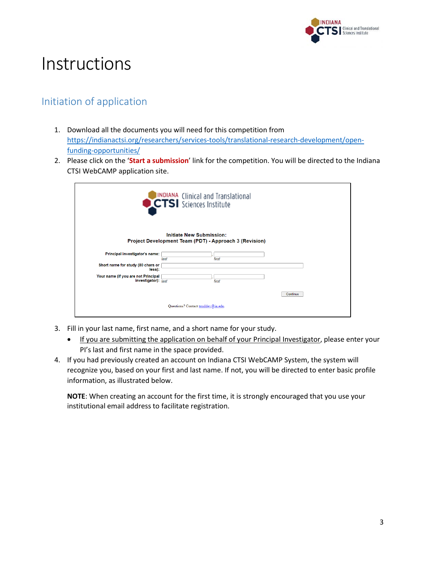

# Instructions

#### <span id="page-2-0"></span>Initiation of application

- 1. Download all the documents you will need for this competition from [https://indianactsi.org/researchers/services-tools/translational-research-development/open](https://indianactsi.org/researchers/services-tools/translational-research-development/open-funding-opportunities/)[funding-opportunities/](https://indianactsi.org/researchers/services-tools/translational-research-development/open-funding-opportunities/)
- 2. Please click on the '**Start a submission**' link for the competition. You will be directed to the Indiana CTSI WebCAMP application site.

|                                                                         | INDIANA Clinical and Translational  |                                                               |          |
|-------------------------------------------------------------------------|-------------------------------------|---------------------------------------------------------------|----------|
|                                                                         | <b>Initiate New Submission:</b>     | <b>Project Development Team (PDT) - Approach 3 (Revision)</b> |          |
| Principal investigator's name:                                          | last                                | first                                                         |          |
| Short name for study (80 chars or<br>less):                             |                                     |                                                               |          |
| Your name (if you are not Principal<br>investigator): $\overline{last}$ |                                     | first                                                         |          |
|                                                                         |                                     |                                                               | Continue |
|                                                                         | Questions? Contact trnsldev@ju.edu. |                                                               |          |

- 3. Fill in your last name, first name, and a short name for your study.
	- If you are submitting the application on behalf of your Principal Investigator, please enter your PI's last and first name in the space provided.
- 4. If you had previously created an account on Indiana CTSI WebCAMP System, the system will recognize you, based on your first and last name. If not, you will be directed to enter basic profile information, as illustrated below.

**NOTE**: When creating an account for the first time, it is strongly encouraged that you use your institutional email address to facilitate registration.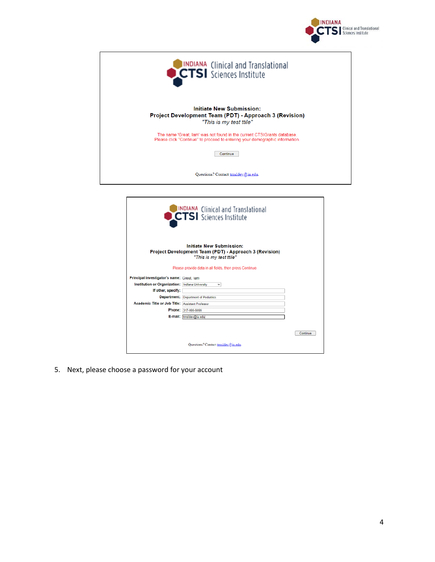

| <b>CITSI</b> Sciences Institute                                                                                                                         |
|---------------------------------------------------------------------------------------------------------------------------------------------------------|
| <b>Initiate New Submission:</b><br><b>Project Development Team (PDT) - Approach 3 (Revision)</b><br>"This is my test ttile"                             |
| The name 'Great, lam' was not found in the current CTSIGrants database.<br>Please click "Continue" to proceed to entering your demographic information. |
| Continue                                                                                                                                                |
| Questions? Contact trnsldev@iu.edu.                                                                                                                     |
|                                                                                                                                                         |

|                                                         | INDIANA Clinical and Translational<br>CTSI Sciences Institute                                                        |          |
|---------------------------------------------------------|----------------------------------------------------------------------------------------------------------------------|----------|
|                                                         | <b>Initiate New Submission:</b><br>Project Development Team (PDT) - Approach 3 (Revision)<br>"This is my test ttile" |          |
|                                                         | Please provide data in all fields, then press Continue.                                                              |          |
| Principal investigator's name: Great, lam               |                                                                                                                      |          |
| <b>Institution or Organization: Indiana University</b>  | v                                                                                                                    |          |
| If other, specify:                                      |                                                                                                                      |          |
|                                                         | <b>Department: Department of Pediatrics</b>                                                                          |          |
| <b>Academic Title or Job Title: Assistant Professor</b> |                                                                                                                      |          |
|                                                         | Phone: 317-999-9999                                                                                                  |          |
|                                                         | E-mail: trnsldev@iu.edu                                                                                              |          |
|                                                         |                                                                                                                      | Continue |
|                                                         | Questions? Contact trnsldev@ju.edu.                                                                                  |          |

5. Next, please choose a password for your account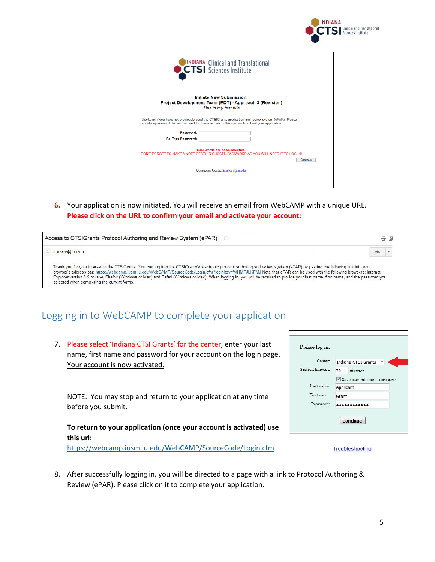| <b>INDIANA</b> |                               |
|----------------|-------------------------------|
|                | <b>TSI</b> Sciences Institute |

| INDIANA Clinical and Translational                                                                                                                                                                           |
|--------------------------------------------------------------------------------------------------------------------------------------------------------------------------------------------------------------|
| <b>Initiate New Submission:</b><br>Project Development Team (PDT) - Approach 3 (Revision)<br>This is my test ttile                                                                                           |
| It looks as if you have not previously used the CTSIGrants application and review system (ePAR). Please<br>provide a password that will be used for future access to this system to submit your application: |
| Password:                                                                                                                                                                                                    |
| <b>Re-Type Password:</b>                                                                                                                                                                                     |
| Passwords are case-sensitive.<br>DON'T FORGET TO MAKE A NOTE OF YOUR CHOSEN PASSWORD AS YOU WILL NEED IT TO LOG INL<br>Continue                                                                              |
| Questions? Contact trnsldev@iu.edu.                                                                                                                                                                          |
|                                                                                                                                                                                                              |

**6.** Your application is now initiated. You will receive an email from WebCAMP with a unique URL. **Please click on the URL to confirm your email and activate your account:**

|                                                                                                                                                                                                                                                                                                                                                                                                                                                                                                                                                                                                  | - L |
|--------------------------------------------------------------------------------------------------------------------------------------------------------------------------------------------------------------------------------------------------------------------------------------------------------------------------------------------------------------------------------------------------------------------------------------------------------------------------------------------------------------------------------------------------------------------------------------------------|-----|
| icreate@iu.edu                                                                                                                                                                                                                                                                                                                                                                                                                                                                                                                                                                                   |     |
| Thank you for your interest in the CTSIGrants. You can log into the CTSIGrants's electronic protocol authoring and review system (ePAR) by pasting the following link into your<br>browser's address bar: https://webcamp.iusm.iu.edu/WebCAMP/SourceCode/Login.cfm?loginkey=WHMPJLKFMJ Note that ePAR can be used with the following browsers: Internet<br>Explorer version 5.5 or later, Firefox (Windows or Mac) and Safari (Windows or Mac). When logging in, you will be required to provide your last name, first name, and the password you<br>selected when completing the current forms. |     |

#### <span id="page-4-0"></span>Logging in to WebCAMP to complete your application

7. Please select 'Indiana CTSI Grants' for the center, enter your last name, first name and password for your account on the login page. Your account is now activated.

NOTE: You may stop and return to your application at any time before you submit.

#### **To return to your application (once your account is activated) use this url:**

<https://webcamp.iusm.iu.edu/WebCAMP/SourceCode/Login.cfm>

| Center:          |           | Indiana CTSI Grants              |
|------------------|-----------|----------------------------------|
| Session timeout: | 20        | minutes                          |
|                  |           | V Save user info across sessions |
| Last name:       | Applicant |                                  |
| First name:      | Grant     |                                  |
| Password:        |           |                                  |
|                  |           | Continue                         |

8. After successfully logging in, you will be directed to a page with a link to Protocol Authoring & Review (ePAR). Please click on it to complete your application.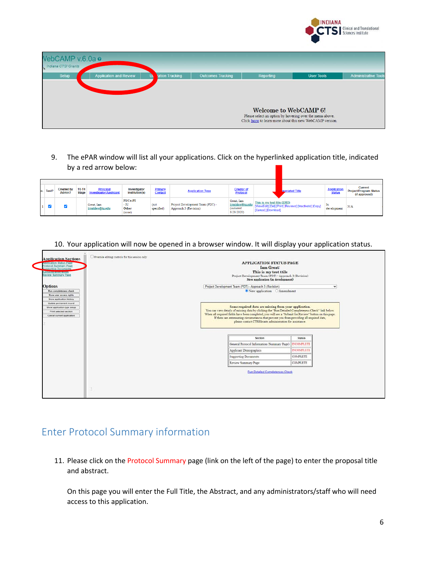

| VebCAMP v.6.0a o<br>Indiana CTSI Grants |                               |                |                          |                                                                                                                                                      |                   |                             |
|-----------------------------------------|-------------------------------|----------------|--------------------------|------------------------------------------------------------------------------------------------------------------------------------------------------|-------------------|-----------------------------|
| Setup                                   | <b>Application and Review</b> | ation Tracking | <b>Outcomes Tracking</b> | Reporting                                                                                                                                            | <b>User Tools</b> | <b>Administrative Tools</b> |
|                                         |                               |                |                          | <b>Welcome to WebCAMP 6!</b><br>Please select an option by hovering over the menu above.<br>Click here to learn more about this new WebCAMP version. |                   |                             |

9. The ePAR window will list all your applications. Click on the hyperlinked application title, indicated by a red arrow below:

| lo. Test? | <b>Created by</b><br>Admin? | <b>T0-T4</b><br><b>Stage</b> | <b>Principal</b><br><b>Investigator/Applicant</b> | Investigator<br>Institution(s)      | <b>Primary</b><br><b>Contact</b> | <b>Application Type</b>                                   | <b>Creator of</b><br><b>Protocol</b>                             |                                                     | <b>previated Title</b>                                  | <b>Application</b><br><b>Status</b> | <b>Current</b><br><b>Project/Program Status</b><br>(if approved) |
|-----------|-----------------------------|------------------------------|---------------------------------------------------|-------------------------------------|----------------------------------|-----------------------------------------------------------|------------------------------------------------------------------|-----------------------------------------------------|---------------------------------------------------------|-------------------------------------|------------------------------------------------------------------|
|           |                             |                              | Great. Iam<br>trnsIdev@iu.edu                     | PI/Co-PI<br>- IU<br>Other<br>(none) | (not)<br>specified)              | Project Development Team (PDT) -<br>Approach 3 (Revision) | Great, Iam<br>trnsIdev@iu.edu<br><i>(initiated</i><br>8/28/2020) | This is my test ttile (2203)<br>[Cancel] [Download] | [View/Edit] [Del] [Print] [Reviews] [Inactivate] [Copy] | 1n<br>development                   | N/A                                                              |

10. Your application will now be opened in a browser window. It will display your application status.



#### <span id="page-5-0"></span>Enter Protocol Summary information

11. Please click on the Protocol Summary page (link on the left of the page) to enter the proposal title and abstract.

On this page you will enter the Full Title, the Abstract, and any administrators/staff who will need access to this application.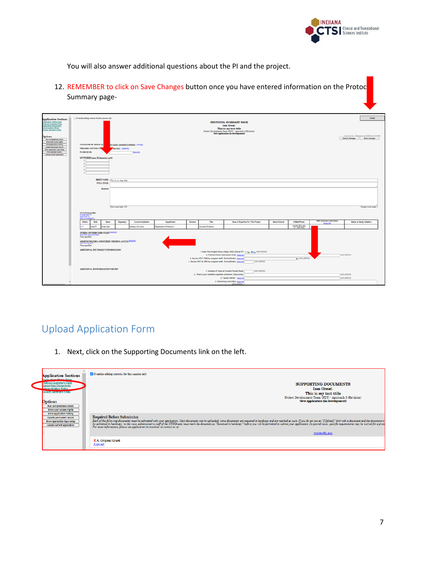

You will also answer additional questions about the PI and the project.

12. REMEMBER to click on Save Changes button once you have entered information on the Protoc Summary page-

| <b>Application Sections</b>                                                                                                                                                                             | Overside editing controls for this session only                                                                                                                 |                                               |                                                                                                                                                                                                                                                                                 |                                       | Close                                                                       |
|---------------------------------------------------------------------------------------------------------------------------------------------------------------------------------------------------------|-----------------------------------------------------------------------------------------------------------------------------------------------------------------|-----------------------------------------------|---------------------------------------------------------------------------------------------------------------------------------------------------------------------------------------------------------------------------------------------------------------------------------|---------------------------------------|-----------------------------------------------------------------------------|
| collication Status Page<br>speeching Documents<br>Idministrative Notes<br><b>textex Summary Page</b><br><b>Options</b><br>Run completeness check<br>Show user access rights<br>Show application history | <b>INITIATOR OF APPLICAT</b><br>Im Great, Assistant Professor [change]                                                                                          |                                               | PROTOCOL SUMMARY PAGE<br><b>Iam Great:</b><br>This is my test ttile<br>Project Development Team (PDT) - Approach 3 (Revision)<br>New application (in development)                                                                                                               |                                       | Last mod by T Research on 8/28/20 at 4:01PM.<br>Cancel changes Save changes |
| Update permanent record<br>Show application type setup<br><b>Print salested section</b><br>Cancel current application                                                                                   | PRIMARY CONTACT P<br>specified) [Specify]<br>PI ORCID ID:<br>1 Mars Info                                                                                        |                                               |                                                                                                                                                                                                                                                                                 |                                       |                                                                             |
|                                                                                                                                                                                                         | KEYWORDS (max 30 characters each)                                                                                                                               |                                               |                                                                                                                                                                                                                                                                                 |                                       |                                                                             |
|                                                                                                                                                                                                         | BRIEF NAME: This is my best this<br>FULL TITLE:                                                                                                                 |                                               |                                                                                                                                                                                                                                                                                 |                                       |                                                                             |
|                                                                                                                                                                                                         | <b>Abstract:</b>                                                                                                                                                |                                               |                                                                                                                                                                                                                                                                                 |                                       |                                                                             |
|                                                                                                                                                                                                         |                                                                                                                                                                 |                                               |                                                                                                                                                                                                                                                                                 |                                       |                                                                             |
|                                                                                                                                                                                                         | Word count limit: 500<br><b>INVESTIGATORS</b><br>Change lead ?<br>add other P()<br>add ddia                                                                     |                                               |                                                                                                                                                                                                                                                                                 |                                       | Current word count: 0                                                       |
|                                                                                                                                                                                                         | Action<br>Role<br>Name<br>Degree(s)                                                                                                                             | Current Institution<br>Department<br>Division | Table<br>Area of Expertise For This Project                                                                                                                                                                                                                                     | <b>Basic/Clinical</b><br>E-Mail/Phone | eRA Commons Username<br>Status at Study Initiation<br>More Info             |
|                                                                                                                                                                                                         | Lead PI<br><b>Creat</b> , Iam<br>Indiana University                                                                                                             | Department of Pediatrics                      | <b>Assistant Professor</b>                                                                                                                                                                                                                                                      | tradden@is.edu<br>317.000.0000        |                                                                             |
|                                                                                                                                                                                                         | OTHER CONTRIBUTORS STAFF Man into<br>ladd other core<br>None specified.<br>ADMINISTRATORS AND OTHERS NEEDING ACCESS MEETING<br><b>ABCAST</b><br>None specified. |                                               |                                                                                                                                                                                                                                                                                 |                                       |                                                                             |
|                                                                                                                                                                                                         | ADDITIONAL PDT PROJECT INFORMATION                                                                                                                              |                                               | 1. Does This Project Have a Basic AND Clinical P17 O Yes @ No 1881-defined<br>2. Planned Grant Submission Date: More Into<br>3. Review PDT (TBD by program staff - Do Not Enter): More into<br>4. Review PDT # (TBD by program staff - Do Not Enter): More into<br>user-defined | v ster-defined                        | user-defined                                                                |
| $\overline{\phantom{a}}$                                                                                                                                                                                | ADDITIONAL PI INFORMATION FOR PDT                                                                                                                               |                                               | user defined<br>1. Number of Years at Current Faculty Rank:<br>2. What is your scientific expertise (minimum 3 keywords)<br>3. Faculty Mentor: More inf<br>4. Mentoring Committee: More Info<br>user-defined                                                                    |                                       | user-defined<br>user-defined                                                |

#### <span id="page-6-0"></span>Upload Application Form

1. Next, click on the Supporting Documents link on the left.

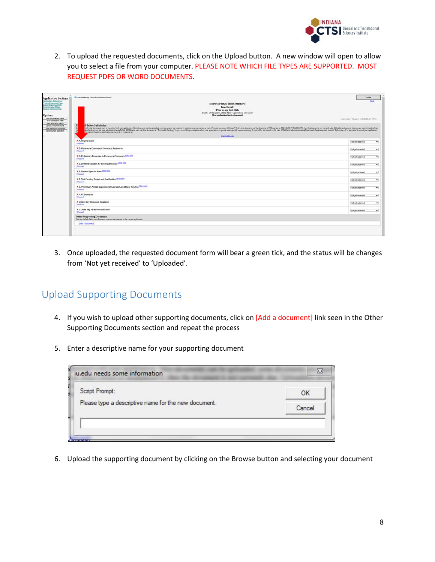

2. To upload the requested documents, click on the Upload button. A new window will open to allow you to select a file from your computer. PLEASE NOTE WHICH FILE TYPES ARE SUPPORTED. MOST REQUEST PDFS OR WORD DOCUMENTS.

| <b>Application Sections</b>                                                                                                                      | CO versile adring controls for this session only                                                                                                                                                                                                                                      | Close                                         |
|--------------------------------------------------------------------------------------------------------------------------------------------------|---------------------------------------------------------------------------------------------------------------------------------------------------------------------------------------------------------------------------------------------------------------------------------------|-----------------------------------------------|
| concellon Matus Page<br><b><i><u>International Page</u></i></b><br>weeding Documents<br><b>Resista Bullet Notes</b><br><b>Index Service Page</b> | <b>SUPPORTING DOCUMENTS</b><br>Iam Great:<br>This is my test ttile<br>Protect Development Team (PDT) - Approach 3 (Bevince)<br>New application (in development)                                                                                                                       | <b>Ellist</b>                                 |
| <b>Run completeness check</b><br>Show user access rights<br><b>Show application tratory</b>                                                      |                                                                                                                                                                                                                                                                                       | Last year lot T Research on \$2520 at 4 17PM. |
| <b>Update parmanent record</b><br>Show application type setup<br>Cantal current application                                                      | $\mathbf{R}$<br>d Before Submission<br>the special department of the control of the control of the control of the control of the control of the control of the control of the control of the control of the control of the control of the control of the control of t<br>transmitted. |                                               |
|                                                                                                                                                  | X.A. Original Grant<br>3.lpinadi                                                                                                                                                                                                                                                      | Not yet received                              |
|                                                                                                                                                  | X B. Revewers' Comments / Summary Statements<br>(Mpload)                                                                                                                                                                                                                              | Not yet received                              |
|                                                                                                                                                  | X.C. Preliminary Response to Reviewers' Comments More Info<br>Supresett                                                                                                                                                                                                               | Not yet received                              |
|                                                                                                                                                  | X D. Draft Introduction for the Resubmission More Info<br><b>Lipicad</b>                                                                                                                                                                                                              | Not yet received                              |
|                                                                                                                                                  | X E. Revised Specific Aims More Info<br>(Upload)                                                                                                                                                                                                                                      | Not yet received                              |
|                                                                                                                                                  | X F. Pilot Funding Budget and Justification Mart Http<br>(Upload)                                                                                                                                                                                                                     | Not yet received                              |
|                                                                                                                                                  | X G. Pilot Study Aim(s), Experimental Approach, and Study Timeline Militi 10<br>(Moldad)                                                                                                                                                                                              | Not yet received                              |
|                                                                                                                                                  | X H. Pl Blosketch<br><b>Outplicated:</b>                                                                                                                                                                                                                                              | Not yet received                              |
|                                                                                                                                                  | X 1. Other Key Personnel Siosketch<br><b>Sacksad</b>                                                                                                                                                                                                                                  | Not yet received                              |
|                                                                                                                                                  | X J. Other Key Personnel Biosketch<br>(Lipload)                                                                                                                                                                                                                                       | Not yet received                              |
|                                                                                                                                                  | Other Supporting Documents<br>The way periode below any documents you revender relevant to the current application.                                                                                                                                                                   |                                               |
|                                                                                                                                                  | <b>Udd a document</b>                                                                                                                                                                                                                                                                 |                                               |

3. Once uploaded, the requested document form will bear a green tick, and the status will be changes from 'Not yet received' to 'Uploaded'.

### <span id="page-7-0"></span>Upload Supporting Documents

- 4. If you wish to upload other supporting documents, click on [Add a document] link seen in the Other Supporting Documents section and repeat the process
- 5. Enter a descriptive name for your supporting document

| Script Prompt:                                       | OK     |  |
|------------------------------------------------------|--------|--|
| Please type a descriptive name for the new document: | Cancel |  |

6. Upload the supporting document by clicking on the Browse button and selecting your document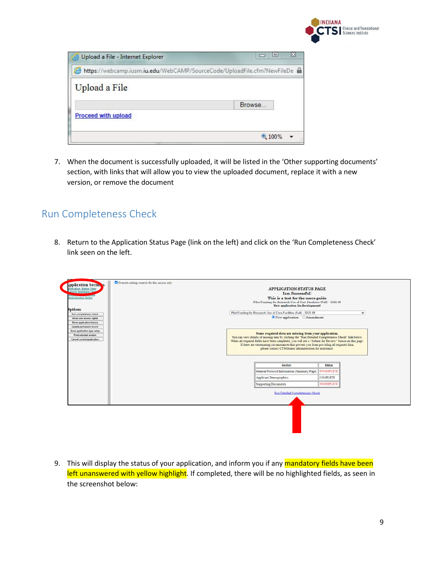

| Upload a File - Internet Explorer                                       | ≘      |   |
|-------------------------------------------------------------------------|--------|---|
| https://webcamp.iusm.iu.edu/WebCAMP/SourceCode/UploadFile.cfm?NewFileDe |        |   |
| Upload a File                                                           |        |   |
|                                                                         | Browse |   |
| <b>Proceed with upload</b>                                              |        |   |
|                                                                         | 4100%  | Ж |

7. When the document is successfully uploaded, it will be listed in the 'Other supporting documents' section, with links that will allow you to view the uploaded document, replace it with a new version, or remove the document

#### <span id="page-8-0"></span>Run Completeness Check

8. Return to the Application Status Page (link on the left) and click on the 'Run Completeness Check' link seen on the left.

| polication Status Page<br>docol Summary Page<br>Iministrative Notes | <b>APPLICATION STATUS PAGE</b><br><b>Iam Successful:</b><br>This is a test for the users guide<br>Pilot Funding for Research Use of Core Facilities (Fall) - 2020.09<br>New application (in development)    |                   |  |
|---------------------------------------------------------------------|-------------------------------------------------------------------------------------------------------------------------------------------------------------------------------------------------------------|-------------------|--|
| <b>Iptions</b>                                                      |                                                                                                                                                                                                             |                   |  |
| <b>Run completeness check</b>                                       | Pilot Funding for Research Use of Core Facilities (Fall) - 2020.09                                                                                                                                          | $\checkmark$      |  |
| Show user access rights                                             | New application Amendment                                                                                                                                                                                   |                   |  |
| Show application history                                            |                                                                                                                                                                                                             |                   |  |
| Update permanent record                                             |                                                                                                                                                                                                             |                   |  |
| Show application type setup                                         | Some required data are missing from your application.                                                                                                                                                       |                   |  |
| <b>Print selected section</b><br>Cancel current application         | You can view details of missing data by clicking the "Run Detailed Completeness Check" link below.<br>When all required fields have been completed, you will see a "Submit for Review" button on this page. |                   |  |
|                                                                     | please contact CTSIGrants administration for assistance.                                                                                                                                                    |                   |  |
|                                                                     | Section                                                                                                                                                                                                     | <b>Status</b>     |  |
|                                                                     | General Protocol Information (Summary Page)                                                                                                                                                                 | <b>INCOMPLETE</b> |  |
|                                                                     | Applicant Demographics                                                                                                                                                                                      | COMPLETE          |  |
|                                                                     | Supporting Documents                                                                                                                                                                                        | <b>INCOMPLETE</b> |  |
|                                                                     | <b>Run Detailed Completeness Check</b>                                                                                                                                                                      |                   |  |
|                                                                     |                                                                                                                                                                                                             |                   |  |

9. This will display the status of your application, and inform you if any mandatory fields have been left unanswered with yellow highlight. If completed, there will be no highlighted fields, as seen in the screenshot below: